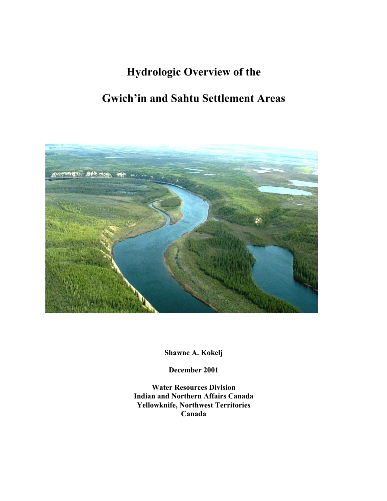# **Hydrologic Overview of the**

# **Gwich'in and Sahtu Settlement Areas**



**Shawne A. Kokelj** 

**December 2001** 

**Water Resources Division Indian and Northern Affairs Canada Yellowknife, Northwest Territories Canada**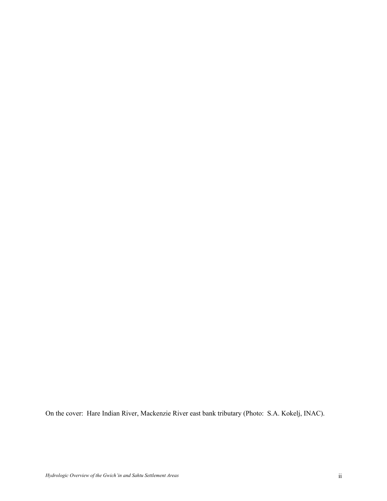On the cover: Hare Indian River, Mackenzie River east bank tributary (Photo: S.A. Kokelj, INAC).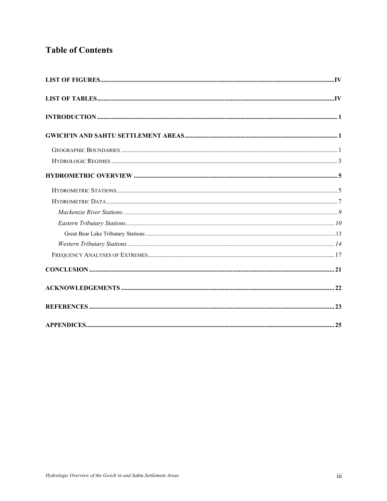## **Table of Contents**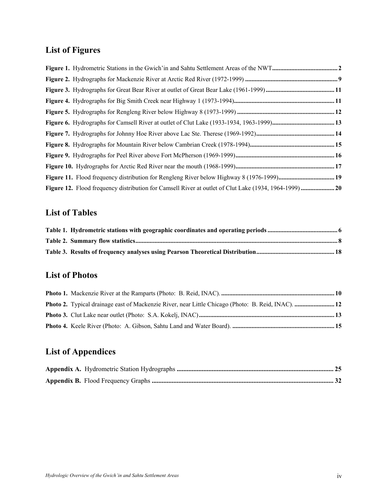## **List of Figures**

## **List of Tables**

## **List of Photos**

| <b>Photo 2.</b> Typical drainage east of Mackenzie River, near Little Chicago (Photo: B. Reid, INAC).  12 |  |
|-----------------------------------------------------------------------------------------------------------|--|
|                                                                                                           |  |
|                                                                                                           |  |

## **List of Appendices**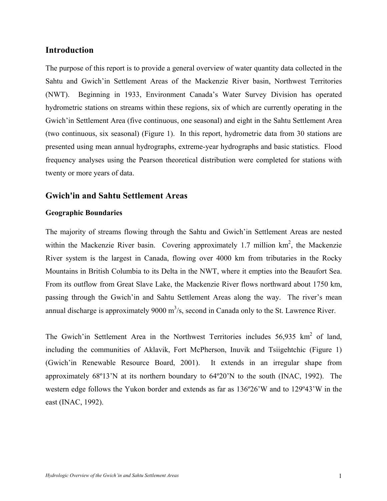## **Introduction**

The purpose of this report is to provide a general overview of water quantity data collected in the Sahtu and Gwich'in Settlement Areas of the Mackenzie River basin, Northwest Territories (NWT). Beginning in 1933, Environment Canada's Water Survey Division has operated hydrometric stations on streams within these regions, six of which are currently operating in the Gwich'in Settlement Area (five continuous, one seasonal) and eight in the Sahtu Settlement Area (two continuous, six seasonal) (Figure 1). In this report, hydrometric data from 30 stations are presented using mean annual hydrographs, extreme-year hydrographs and basic statistics. Flood frequency analyses using the Pearson theoretical distribution were completed for stations with twenty or more years of data.

## **Gwich'in and Sahtu Settlement Areas**

#### **Geographic Boundaries**

The majority of streams flowing through the Sahtu and Gwich'in Settlement Areas are nested within the Mackenzie River basin. Covering approximately 1.7 million  $km^2$ , the Mackenzie River system is the largest in Canada, flowing over 4000 km from tributaries in the Rocky Mountains in British Columbia to its Delta in the NWT, where it empties into the Beaufort Sea. From its outflow from Great Slave Lake, the Mackenzie River flows northward about 1750 km, passing through the Gwich'in and Sahtu Settlement Areas along the way. The river's mean annual discharge is approximately  $9000 \text{ m}^3$ /s, second in Canada only to the St. Lawrence River.

The Gwich'in Settlement Area in the Northwest Territories includes  $56,935$  km<sup>2</sup> of land, including the communities of Aklavik, Fort McPherson, Inuvik and Tsiigehtchic (Figure 1) (Gwich'in Renewable Resource Board, 2001). It extends in an irregular shape from approximately 68º13'N at its northern boundary to 64º20'N to the south (INAC, 1992). The western edge follows the Yukon border and extends as far as 136º26'W and to 129º43'W in the east (INAC, 1992).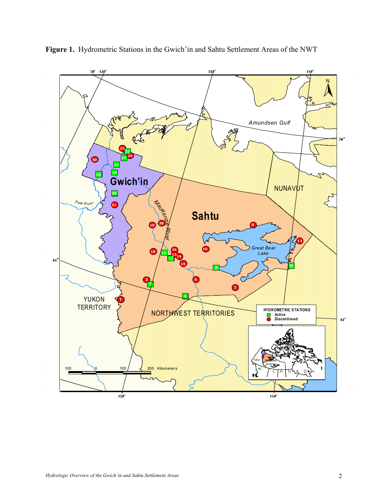

**Figure 1.** Hydrometric Stations in the Gwich'in and Sahtu Settlement Areas of the NWT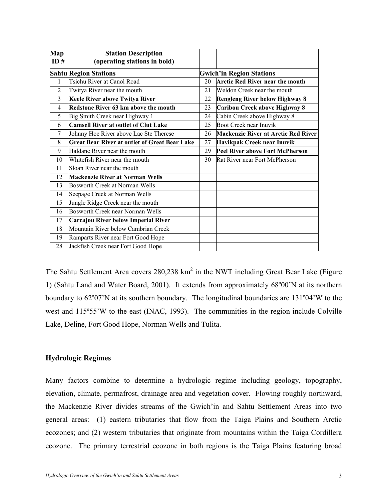| Map<br>ID#     | <b>Station Description</b><br>(operating stations in bold) |                                 |                                            |  |  |
|----------------|------------------------------------------------------------|---------------------------------|--------------------------------------------|--|--|
|                | <b>Sahtu Region Stations</b>                               | <b>Gwich'in Region Stations</b> |                                            |  |  |
| 1              | Tsichu River at Canol Road                                 | 20                              | <b>Arctic Red River near the mouth</b>     |  |  |
| $\overline{2}$ | Twitya River near the mouth                                | 21                              | Weldon Creek near the mouth                |  |  |
| 3              | Keele River above Twitya River                             | 22                              | <b>Rengleng River below Highway 8</b>      |  |  |
| 4              | Redstone River 63 km above the mouth                       | 23                              | Caribou Creek above Highway 8              |  |  |
| 5              | Big Smith Creek near Highway 1                             | 24                              | Cabin Creek above Highway 8                |  |  |
| 6              | <b>Camsell River at outlet of Clut Lake</b>                | 25                              | Boot Creek near Inuvik                     |  |  |
| 7              | Johnny Hoe River above Lac Ste Therese                     | 26                              | <b>Mackenzie River at Arctic Red River</b> |  |  |
| 8              | <b>Great Bear River at outlet of Great Bear Lake</b>       | 27                              | Havikpak Creek near Inuvik                 |  |  |
| 9              | Haldane River near the mouth                               | 29                              | <b>Peel River above Fort McPherson</b>     |  |  |
| 10             | Whitefish River near the mouth                             | 30                              | Rat River near Fort McPherson              |  |  |
| 11             | Sloan River near the mouth                                 |                                 |                                            |  |  |
| 12             | <b>Mackenzie River at Norman Wells</b>                     |                                 |                                            |  |  |
| 13             | Bosworth Creek at Norman Wells                             |                                 |                                            |  |  |
| 14             | Seepage Creek at Norman Wells                              |                                 |                                            |  |  |
| 15             | Jungle Ridge Creek near the mouth                          |                                 |                                            |  |  |
| 16             | Bosworth Creek near Norman Wells                           |                                 |                                            |  |  |
| 17             | Carcajou River below Imperial River                        |                                 |                                            |  |  |
| 18             | Mountain River below Cambrian Creek                        |                                 |                                            |  |  |
| 19             | Ramparts River near Fort Good Hope                         |                                 |                                            |  |  |
| 28             | Jackfish Creek near Fort Good Hope                         |                                 |                                            |  |  |

The Sahtu Settlement Area covers  $280,238$  km<sup>2</sup> in the NWT including Great Bear Lake (Figure 1) (Sahtu Land and Water Board, 2001). It extends from approximately 68º00'N at its northern boundary to 62º07'N at its southern boundary. The longitudinal boundaries are 131º04'W to the west and 115º55'W to the east (INAC, 1993). The communities in the region include Colville Lake, Deline, Fort Good Hope, Norman Wells and Tulita.

#### **Hydrologic Regimes**

Many factors combine to determine a hydrologic regime including geology, topography, elevation, climate, permafrost, drainage area and vegetation cover. Flowing roughly northward, the Mackenzie River divides streams of the Gwich'in and Sahtu Settlement Areas into two general areas: (1) eastern tributaries that flow from the Taiga Plains and Southern Arctic ecozones; and (2) western tributaries that originate from mountains within the Taiga Cordillera ecozone. The primary terrestrial ecozone in both regions is the Taiga Plains featuring broad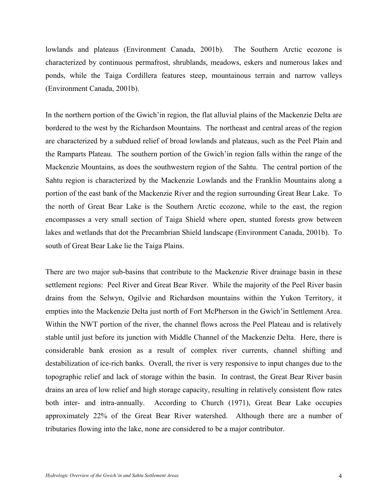lowlands and plateaus (Environment Canada, 2001b). The Southern Arctic ecozone is characterized by continuous permafrost, shrublands, meadows, eskers and numerous lakes and ponds, while the Taiga Cordillera features steep, mountainous terrain and narrow valleys (Environment Canada, 2001b).

In the northern portion of the Gwich'in region, the flat alluvial plains of the Mackenzie Delta are bordered to the west by the Richardson Mountains. The northeast and central areas of the region are characterized by a subdued relief of broad lowlands and plateaus, such as the Peel Plain and the Ramparts Plateau. The southern portion of the Gwich'in region falls within the range of the Mackenzie Mountains, as does the southwestern region of the Sahtu. The central portion of the Sahtu region is characterized by the Mackenzie Lowlands and the Franklin Mountains along a portion of the east bank of the Mackenzie River and the region surrounding Great Bear Lake. To the north of Great Bear Lake is the Southern Arctic ecozone, while to the east, the region encompasses a very small section of Taiga Shield where open, stunted forests grow between lakes and wetlands that dot the Precambrian Shield landscape (Environment Canada, 2001b). To south of Great Bear Lake lie the Taiga Plains.

There are two major sub-basins that contribute to the Mackenzie River drainage basin in these settlement regions: Peel River and Great Bear River. While the majority of the Peel River basin drains from the Selwyn, Ogilvie and Richardson mountains within the Yukon Territory, it empties into the Mackenzie Delta just north of Fort McPherson in the Gwich'in Settlement Area. Within the NWT portion of the river, the channel flows across the Peel Plateau and is relatively stable until just before its junction with Middle Channel of the Mackenzie Delta. Here, there is considerable bank erosion as a result of complex river currents, channel shifting and destabilization of ice-rich banks. Overall, the river is very responsive to input changes due to the topographic relief and lack of storage within the basin. In contrast, the Great Bear River basin drains an area of low relief and high storage capacity, resulting in relatively consistent flow rates both inter- and intra-annually. According to Church (1971), Great Bear Lake occupies approximately 22% of the Great Bear River watershed. Although there are a number of tributaries flowing into the lake, none are considered to be a major contributor.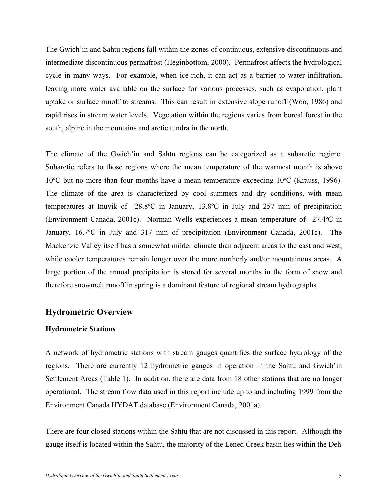The Gwich'in and Sahtu regions fall within the zones of continuous, extensive discontinuous and intermediate discontinuous permafrost (Heginbottom, 2000). Permafrost affects the hydrological cycle in many ways. For example, when ice-rich, it can act as a barrier to water infiltration, leaving more water available on the surface for various processes, such as evaporation, plant uptake or surface runoff to streams. This can result in extensive slope runoff (Woo, 1986) and rapid rises in stream water levels. Vegetation within the regions varies from boreal forest in the south, alpine in the mountains and arctic tundra in the north.

The climate of the Gwich'in and Sahtu regions can be categorized as a subarctic regime. Subarctic refers to those regions where the mean temperature of the warmest month is above 10ºC but no more than four months have a mean temperature exceeding 10ºC (Krauss, 1996). The climate of the area is characterized by cool summers and dry conditions, with mean temperatures at Inuvik of –28.8ºC in January, 13.8ºC in July and 257 mm of precipitation (Environment Canada, 2001c). Norman Wells experiences a mean temperature of –27.4ºC in January, 16.7ºC in July and 317 mm of precipitation (Environment Canada, 2001c). The Mackenzie Valley itself has a somewhat milder climate than adjacent areas to the east and west, while cooler temperatures remain longer over the more northerly and/or mountainous areas. A large portion of the annual precipitation is stored for several months in the form of snow and therefore snowmelt runoff in spring is a dominant feature of regional stream hydrographs.

## **Hydrometric Overview**

#### **Hydrometric Stations**

A network of hydrometric stations with stream gauges quantifies the surface hydrology of the regions. There are currently 12 hydrometric gauges in operation in the Sahtu and Gwich'in Settlement Areas (Table 1). In addition, there are data from 18 other stations that are no longer operational. The stream flow data used in this report include up to and including 1999 from the Environment Canada HYDAT database (Environment Canada, 2001a).

There are four closed stations within the Sahtu that are not discussed in this report. Although the gauge itself is located within the Sahtu, the majority of the Lened Creek basin lies within the Deh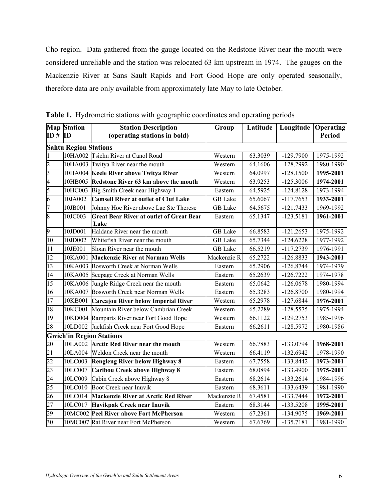Cho region. Data gathered from the gauge located on the Redstone River near the mouth were considered unreliable and the station was relocated 63 km upstream in 1974. The gauges on the Mackenzie River at Sans Sault Rapids and Fort Good Hope are only operated seasonally, therefore data are only available from approximately late May to late October.

|                              | <b>Map Station</b><br><b>Station Description</b> |                                                         | Group          | Latitude             | Longitude   | Operating     |  |  |
|------------------------------|--------------------------------------------------|---------------------------------------------------------|----------------|----------------------|-------------|---------------|--|--|
| $ID \# ID$                   |                                                  | (operating stations in bold)                            |                |                      |             | <b>Period</b> |  |  |
| <b>Sahtu Region Stations</b> |                                                  |                                                         |                |                      |             |               |  |  |
|                              |                                                  | 10HA002 Tsichu River at Canol Road                      | Western        | 63.3039              | $-129.7900$ | 1975-1992     |  |  |
| $\overline{c}$               |                                                  | 10HA003 Twitya River near the mouth                     | Western        | 64.1606              | $-128.2992$ | 1980-1990     |  |  |
| $\overline{\mathbf{3}}$      |                                                  | 10HA004 Keele River above Twitya River                  | Western        | 64.0997              | $-128.1500$ | 1995-2001     |  |  |
| 4                            |                                                  | 10HB005 Redstone River 63 km above the mouth            | Western        | 63.9253              | $-125.3006$ | 1974-2001     |  |  |
| 5                            |                                                  | 10HC003 Big Smith Creek near Highway 1                  | Eastern        | 64.5925              | $-124.8128$ | 1973-1994     |  |  |
| 6                            | 10JA002                                          | <b>Camsell River at outlet of Clut Lake</b>             | <b>GB</b> Lake | 65.6067              | $-117.7653$ | 1933-2001     |  |  |
| 7                            | 10JB001                                          | Johnny Hoe River above Lac Ste Therese                  | <b>GB</b> Lake | 64.5675              | $-121.7433$ | 1969-1992     |  |  |
| 8                            | 10JC003                                          | <b>Great Bear River at outlet of Great Bear</b><br>Lake | Eastern        | 65.1347              | $-123.5181$ | 1961-2001     |  |  |
| 9                            | 10JD001                                          | Haldane River near the mouth                            | <b>GB</b> Lake | 66.8583              | $-121.2653$ | 1975-1992     |  |  |
| 10                           | 10JD002                                          | Whitefish River near the mouth                          | <b>GB</b> Lake | 65.7344              | $-124.6228$ | 1977-1992     |  |  |
| 11                           | 10JE001                                          | Sloan River near the mouth                              | <b>GB</b> Lake | 66.5219              | $-117.2739$ | 1976-1991     |  |  |
| 12                           |                                                  | 10KA001 Mackenzie River at Norman Wells                 | Mackenzie R    | 65.2722              | $-126.8833$ | 1943-2001     |  |  |
| 13                           |                                                  | 10KA003 Bosworth Creek at Norman Wells                  | Eastern        | 65.2906              | $-126.8744$ | 1974-1979     |  |  |
| $\overline{14}$              |                                                  | 10KA005 Seepage Creek at Norman Wells                   | Eastern        | $\overline{65.2639}$ | $-126.7222$ | 1974-1978     |  |  |
| 15                           |                                                  | 10KA006 Jungle Ridge Creek near the mouth               | Eastern        | 65.0642              | $-126.0678$ | 1980-1994     |  |  |
| $\overline{16}$              |                                                  | 10KA007 Bosworth Creek near Norman Wells                | Eastern        | 65.3283              | $-126.8700$ | 1980-1994     |  |  |
| 17                           |                                                  | 10KB001 Carcajou River below Imperial River             | Western        | 65.2978              | $-127.6844$ | 1976-2001     |  |  |
| 18                           |                                                  | 10KC001 Mountain River below Cambrian Creek             | Western        | 65.2289              | $-128.5575$ | 1975-1994     |  |  |
| 19                           |                                                  | <b>OKD004</b> Ramparts River near Fort Good Hope        | Western        | 66.1122              | $-129.2753$ | 1985-1996     |  |  |
| 28                           | 10LD002                                          | Jackfish Creek near Fort Good Hope                      | Eastern        | 66.2611              | $-128.5972$ | 1980-1986     |  |  |
|                              |                                                  | <b>Gwich'in Region Stations</b>                         |                |                      |             |               |  |  |
| 20                           |                                                  | 10LA002 Arctic Red River near the mouth                 | Western        | 66.7883              | $-133.0794$ | 1968-2001     |  |  |
| $\overline{21}$              |                                                  | 10LA004 Weldon Creek near the mouth                     | Western        | 66.4119              | $-132.6942$ | 1978-1990     |  |  |
| $\overline{22}$              | 10LC003                                          | Rengleng River below Highway 8                          | Eastern        | 67.7558              | $-133.8442$ | 1973-2001     |  |  |
| 23                           | 10LC007                                          | Caribou Creek above Highway 8                           | Eastern        | 68.0894              | $-133.4900$ | 1975-2001     |  |  |
| $\overline{24}$              | 10LC009                                          | Cabin Creek above Highway 8                             | Eastern        | 68.2614              | $-133.2614$ | 1984-1996     |  |  |
| 25                           | 10LC010                                          | Boot Creek near Inuvik                                  | Eastern        | 68.3611              | $-133.6439$ | 1981-1990     |  |  |
| $\overline{26}$              | 10LC014                                          | <b>Mackenzie River at Arctic Red River</b>              | Mackenzie R    | 67.4581              | $-133.7444$ | 1972-2001     |  |  |
| $\overline{27}$              | 10LC017                                          | Havikpak Creek near Inuvik                              | Eastern        | 68.3144              | $-133.5208$ | 1995-2001     |  |  |
| 29                           |                                                  | 10MC002 Peel River above Fort McPherson                 | Western        | 67.2361              | $-134.9075$ | 1969-2001     |  |  |
| 30                           |                                                  | 10MC007 Rat River near Fort McPherson                   | Western        | 67.6769              | $-135.7181$ | 1981-1990     |  |  |

**Table 1.** Hydrometric stations with geographic coordinates and operating periods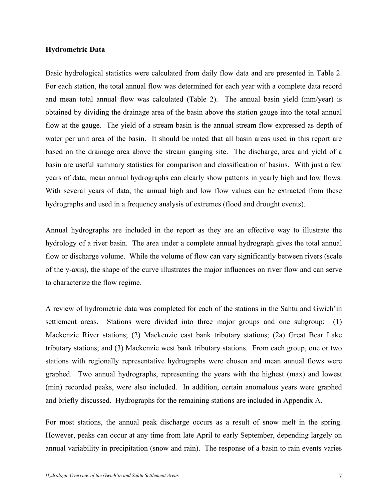#### **Hydrometric Data**

Basic hydrological statistics were calculated from daily flow data and are presented in Table 2. For each station, the total annual flow was determined for each year with a complete data record and mean total annual flow was calculated (Table 2). The annual basin yield (mm/year) is obtained by dividing the drainage area of the basin above the station gauge into the total annual flow at the gauge. The yield of a stream basin is the annual stream flow expressed as depth of water per unit area of the basin. It should be noted that all basin areas used in this report are based on the drainage area above the stream gauging site. The discharge, area and yield of a basin are useful summary statistics for comparison and classification of basins. With just a few years of data, mean annual hydrographs can clearly show patterns in yearly high and low flows. With several years of data, the annual high and low flow values can be extracted from these hydrographs and used in a frequency analysis of extremes (flood and drought events).

Annual hydrographs are included in the report as they are an effective way to illustrate the hydrology of a river basin. The area under a complete annual hydrograph gives the total annual flow or discharge volume. While the volume of flow can vary significantly between rivers (scale of the y-axis), the shape of the curve illustrates the major influences on river flow and can serve to characterize the flow regime.

A review of hydrometric data was completed for each of the stations in the Sahtu and Gwich'in settlement areas. Stations were divided into three major groups and one subgroup: (1) Mackenzie River stations; (2) Mackenzie east bank tributary stations; (2a) Great Bear Lake tributary stations; and (3) Mackenzie west bank tributary stations. From each group, one or two stations with regionally representative hydrographs were chosen and mean annual flows were graphed. Two annual hydrographs, representing the years with the highest (max) and lowest (min) recorded peaks, were also included. In addition, certain anomalous years were graphed and briefly discussed. Hydrographs for the remaining stations are included in Appendix A.

For most stations, the annual peak discharge occurs as a result of snow melt in the spring. However, peaks can occur at any time from late April to early September, depending largely on annual variability in precipitation (snow and rain). The response of a basin to rain events varies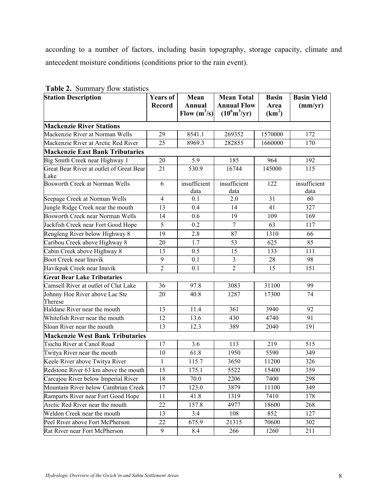according to a number of factors, including basin topography, storage capacity, climate and antecedent moisture conditions (conditions prior to the rain event).

| <b>Table 2.</b> Dummary How Statistics<br><b>Station Description</b> | Years of<br><b>Record</b> | Mean<br><b>Annual</b><br>Flow $(m^3/s)$ | <b>Mean Total</b><br><b>Annual Flow</b><br>$(10^6 \text{m}^3/\text{yr})$ | <b>Basin</b><br>Area<br>(km <sup>2</sup> ) | <b>Basin Yield</b><br>(mm/yr) |
|----------------------------------------------------------------------|---------------------------|-----------------------------------------|--------------------------------------------------------------------------|--------------------------------------------|-------------------------------|
| <b>Mackenzie River Stations</b>                                      |                           |                                         |                                                                          |                                            |                               |
| Mackenzie River at Norman Wells                                      | 29                        | 8541.1                                  | 269352                                                                   | 1570000                                    | 172                           |
| Mackenzie River at Arctic Red River                                  | 25                        | 8969.3                                  | 282855                                                                   | 1660000                                    | 170                           |
| <b>Mackenzie East Bank Tributaries</b>                               |                           |                                         |                                                                          |                                            |                               |
| Big Smith Creek near Highway 1                                       | 20                        | 5.9                                     | 185                                                                      | 964                                        | 192                           |
| Great Bear River at outlet of Great Bear<br>Lake                     | 21                        | 530.9                                   | 16744                                                                    | 145000                                     | 115                           |
| Bosworth Creek at Norman Wells                                       | 6                         | insufficient<br>data                    | insufficient<br>data                                                     | 122                                        | insufficient<br>data          |
| Seepage Creek at Norman Wells                                        | $\overline{4}$            | 0.1                                     | 2.0                                                                      | 31                                         | 60                            |
| Jungle Ridge Creek near the mouth                                    | 13                        | 0.4                                     | 14                                                                       | 41                                         | 327                           |
| <b>Bosworth Creek near Norman Wells</b>                              | 14                        | 0.6                                     | 19                                                                       | 109                                        | 169                           |
| Jackfish Creek near Fort Good Hope                                   | 5                         | $\overline{0.2}$                        | $\overline{7}$                                                           | 63                                         | 117                           |
| Rengleng River below Highway 8                                       | 19                        | 2.8                                     | 87                                                                       | 1310                                       | 66                            |
| Caribou Creek above Highway 8                                        | 20                        | 1.7                                     | 53                                                                       | 625                                        | 85                            |
| Cabin Creek above Highway 8                                          | 13                        | 0.5                                     | 15                                                                       | 133                                        | 111                           |
| <b>Boot Creek near Inuvik</b>                                        | 9                         | 0.1                                     | $\mathfrak{Z}$                                                           | 28                                         | 98                            |
| Havikpak Creek near Inuvik                                           | $\overline{2}$            | 0.1                                     | $\overline{2}$                                                           | 15                                         | 151                           |
| <b>Great Bear Lake Tributaries</b>                                   |                           |                                         |                                                                          |                                            |                               |
| Camsell River at outlet of Clut Lake                                 | 36                        | 97.8                                    | 3083                                                                     | 31100                                      | 99                            |
| Johnny Hoe River above Lac Ste<br>Therese                            | 20                        | 40.8                                    | 1287                                                                     | 17300                                      | 74                            |
| Haldane River near the mouth                                         | 13                        | 11.4                                    | 361                                                                      | 3940                                       | 92                            |
| Whitefish River near the mouth                                       | 12                        | 13.6                                    | 430                                                                      | 4740                                       | 91                            |
| Sloan River near the mouth                                           | 13                        | 12.3                                    | 389                                                                      | 2040                                       | 191                           |
| <b>Mackenzie West Bank Tributaries</b>                               |                           |                                         |                                                                          |                                            |                               |
| Tsichu River at Canol Road                                           | 17                        | 3.6                                     | 113                                                                      | 219                                        | 515                           |
| Twitya River near the mouth                                          | 10                        | 61.8                                    | 1950                                                                     | 5590                                       | 349                           |
| Keele River above Twitya River                                       | $\mathbf{1}$              | 115.7                                   | 3650                                                                     | 11200                                      | 326                           |
| Redstone River 63 km above the mouth                                 | $\overline{15}$           | 175.1                                   | 5522                                                                     | 15400                                      | 359                           |
| Carcajou River below Imperial River                                  | 18                        | 70.0                                    | 2206                                                                     | 7400                                       | 298                           |
| Mountain River below Cambrian Creek                                  | 17                        | 123.0                                   | 3879                                                                     | 11100                                      | 349                           |
| Ramparts River near Fort Good Hope                                   | 11                        | 41.8                                    | 1319                                                                     | 7410                                       | 178                           |
| Arctic Red River near the mouth                                      | 22                        | 157.8                                   | 4977                                                                     | 18600                                      | 268                           |
| Weldon Creek near the mouth                                          | 13                        | 3.4                                     | 108                                                                      | 852                                        | 127                           |
| Peel River above Fort McPherson                                      | 22                        | 675.9                                   | 21315                                                                    | 70600                                      | 302                           |
| Rat River near Fort McPherson                                        | 9                         | 8.4                                     | 266                                                                      | 1260                                       | 211                           |

**Table 2.** Summary flow statistics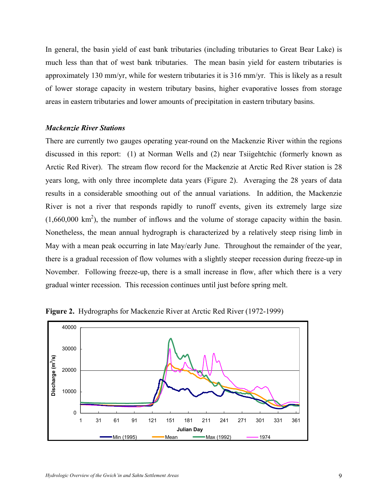In general, the basin yield of east bank tributaries (including tributaries to Great Bear Lake) is much less than that of west bank tributaries. The mean basin yield for eastern tributaries is approximately 130 mm/yr, while for western tributaries it is 316 mm/yr. This is likely as a result of lower storage capacity in western tributary basins, higher evaporative losses from storage areas in eastern tributaries and lower amounts of precipitation in eastern tributary basins.

#### *Mackenzie River Stations*

There are currently two gauges operating year-round on the Mackenzie River within the regions discussed in this report: (1) at Norman Wells and (2) near Tsiigehtchic (formerly known as Arctic Red River). The stream flow record for the Mackenzie at Arctic Red River station is 28 years long, with only three incomplete data years (Figure 2). Averaging the 28 years of data results in a considerable smoothing out of the annual variations. In addition, the Mackenzie River is not a river that responds rapidly to runoff events, given its extremely large size  $(1,660,000 \text{ km}^2)$ , the number of inflows and the volume of storage capacity within the basin. Nonetheless, the mean annual hydrograph is characterized by a relatively steep rising limb in May with a mean peak occurring in late May/early June. Throughout the remainder of the year, there is a gradual recession of flow volumes with a slightly steeper recession during freeze-up in November. Following freeze-up, there is a small increase in flow, after which there is a very gradual winter recession. This recession continues until just before spring melt.



**Figure 2.** Hydrographs for Mackenzie River at Arctic Red River (1972-1999)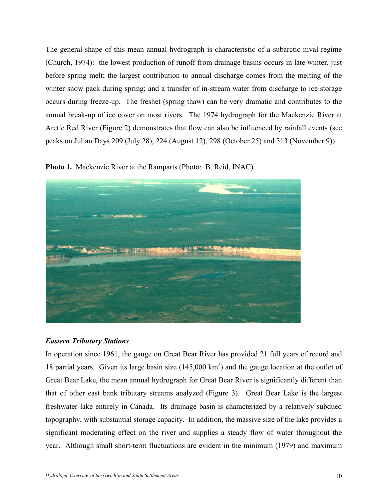The general shape of this mean annual hydrograph is characteristic of a subarctic nival regime (Church, 1974): the lowest production of runoff from drainage basins occurs in late winter, just before spring melt; the largest contribution to annual discharge comes from the melting of the winter snow pack during spring; and a transfer of in-stream water from discharge to ice storage occurs during freeze-up. The freshet (spring thaw) can be very dramatic and contributes to the annual break-up of ice cover on most rivers. The 1974 hydrograph for the Mackenzie River at Arctic Red River (Figure 2) demonstrates that flow can also be influenced by rainfall events (see peaks on Julian Days 209 (July 28), 224 (August 12), 298 (October 25) and 313 (November 9)).

**Photo 1.** Mackenzie River at the Ramparts (Photo: B. Reid, INAC).



## *Eastern Tributary Stations*

In operation since 1961, the gauge on Great Bear River has provided 21 full years of record and 18 partial years. Given its large basin size  $(145,000 \text{ km}^2)$  and the gauge location at the outlet of Great Bear Lake, the mean annual hydrograph for Great Bear River is significantly different than that of other east bank tributary streams analyzed (Figure 3). Great Bear Lake is the largest freshwater lake entirely in Canada. Its drainage basin is characterized by a relatively subdued topography, with substantial storage capacity. In addition, the massive size of the lake provides a significant moderating effect on the river and supplies a steady flow of water throughout the year. Although small short-term fluctuations are evident in the minimum (1979) and maximum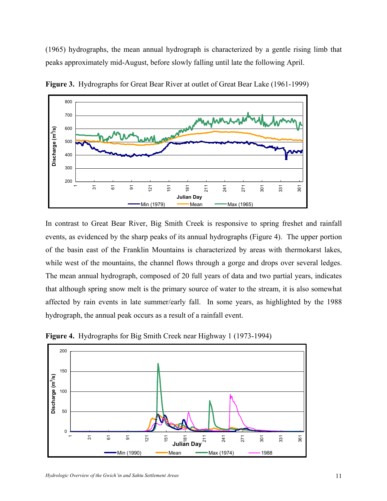(1965) hydrographs, the mean annual hydrograph is characterized by a gentle rising limb that peaks approximately mid-August, before slowly falling until late the following April.



**Figure 3.** Hydrographs for Great Bear River at outlet of Great Bear Lake (1961-1999)

In contrast to Great Bear River, Big Smith Creek is responsive to spring freshet and rainfall events, as evidenced by the sharp peaks of its annual hydrographs (Figure 4). The upper portion of the basin east of the Franklin Mountains is characterized by areas with thermokarst lakes, while west of the mountains, the channel flows through a gorge and drops over several ledges. The mean annual hydrograph, composed of 20 full years of data and two partial years, indicates that although spring snow melt is the primary source of water to the stream, it is also somewhat affected by rain events in late summer/early fall. In some years, as highlighted by the 1988 hydrograph, the annual peak occurs as a result of a rainfall event.



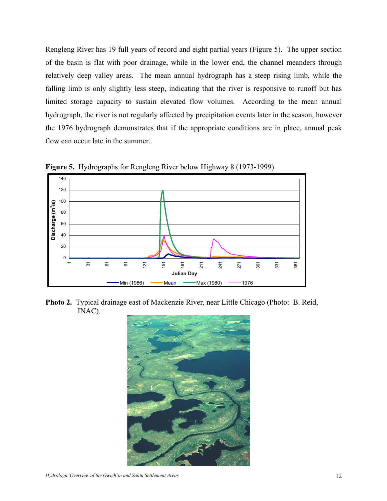Rengleng River has 19 full years of record and eight partial years (Figure 5). The upper section of the basin is flat with poor drainage, while in the lower end, the channel meanders through relatively deep valley areas. The mean annual hydrograph has a steep rising limb, while the falling limb is only slightly less steep, indicating that the river is responsive to runoff but has limited storage capacity to sustain elevated flow volumes. According to the mean annual hydrograph, the river is not regularly affected by precipitation events later in the season, however the 1976 hydrograph demonstrates that if the appropriate conditions are in place, annual peak flow can occur late in the summer.



**Figure 5.** Hydrographs for Rengleng River below Highway 8 (1973-1999)

**Photo 2.** Typical drainage east of Mackenzie River, near Little Chicago (Photo: B. Reid, INAC).

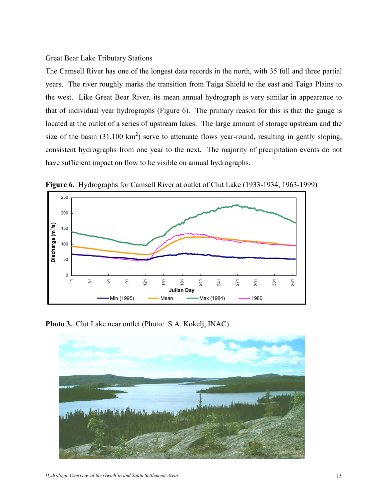#### Great Bear Lake Tributary Stations

The Camsell River has one of the longest data records in the north, with 35 full and three partial years. The river roughly marks the transition from Taiga Shield to the east and Taiga Plains to the west. Like Great Bear River, its mean annual hydrograph is very similar in appearance to that of individual year hydrographs (Figure 6). The primary reason for this is that the gauge is located at the outlet of a series of upstream lakes. The large amount of storage upstream and the size of the basin  $(31,100 \text{ km}^2)$  serve to attenuate flows year-round, resulting in gently sloping, consistent hydrographs from one year to the next. The majority of precipitation events do not have sufficient impact on flow to be visible on annual hydrographs.



**Figure 6.** Hydrographs for Camsell River at outlet of Clut Lake (1933-1934, 1963-1999)

**Photo 3.** Clut Lake near outlet (Photo: S.A. Kokelj, INAC)

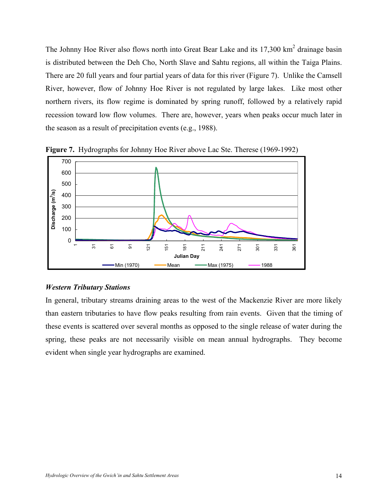The Johnny Hoe River also flows north into Great Bear Lake and its  $17,300 \text{ km}^2$  drainage basin is distributed between the Deh Cho, North Slave and Sahtu regions, all within the Taiga Plains. There are 20 full years and four partial years of data for this river (Figure 7). Unlike the Camsell River, however, flow of Johnny Hoe River is not regulated by large lakes. Like most other northern rivers, its flow regime is dominated by spring runoff, followed by a relatively rapid recession toward low flow volumes. There are, however, years when peaks occur much later in the season as a result of precipitation events (e.g., 1988).



**Figure 7.** Hydrographs for Johnny Hoe River above Lac Ste. Therese (1969-1992)

## *Western Tributary Stations*

In general, tributary streams draining areas to the west of the Mackenzie River are more likely than eastern tributaries to have flow peaks resulting from rain events. Given that the timing of these events is scattered over several months as opposed to the single release of water during the spring, these peaks are not necessarily visible on mean annual hydrographs. They become evident when single year hydrographs are examined.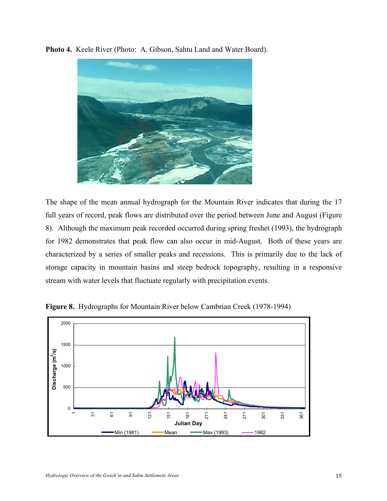**Photo 4.** Keele River (Photo: A. Gibson, Sahtu Land and Water Board).



The shape of the mean annual hydrograph for the Mountain River indicates that during the 17 full years of record, peak flows are distributed over the period between June and August (Figure 8). Although the maximum peak recorded occurred during spring freshet (1993), the hydrograph for 1982 demonstrates that peak flow can also occur in mid-August. Both of these years are characterized by a series of smaller peaks and recessions. This is primarily due to the lack of storage capacity in mountain basins and steep bedrock topography, resulting in a responsive stream with water levels that fluctuate regularly with precipitation events.



**Figure 8.** Hydrographs for Mountain River below Cambrian Creek (1978-1994)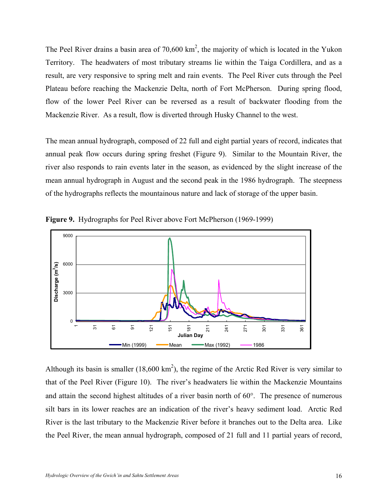The Peel River drains a basin area of  $70,600 \text{ km}^2$ , the majority of which is located in the Yukon Territory. The headwaters of most tributary streams lie within the Taiga Cordillera, and as a result, are very responsive to spring melt and rain events. The Peel River cuts through the Peel Plateau before reaching the Mackenzie Delta, north of Fort McPherson. During spring flood, flow of the lower Peel River can be reversed as a result of backwater flooding from the Mackenzie River. As a result, flow is diverted through Husky Channel to the west.

The mean annual hydrograph, composed of 22 full and eight partial years of record, indicates that annual peak flow occurs during spring freshet (Figure 9). Similar to the Mountain River, the river also responds to rain events later in the season, as evidenced by the slight increase of the mean annual hydrograph in August and the second peak in the 1986 hydrograph. The steepness of the hydrographs reflects the mountainous nature and lack of storage of the upper basin.



**Figure 9.** Hydrographs for Peel River above Fort McPherson (1969-1999)

Although its basin is smaller (18,600 km<sup>2</sup>), the regime of the Arctic Red River is very similar to that of the Peel River (Figure 10). The river's headwaters lie within the Mackenzie Mountains and attain the second highest altitudes of a river basin north of 60°. The presence of numerous silt bars in its lower reaches are an indication of the river's heavy sediment load. Arctic Red River is the last tributary to the Mackenzie River before it branches out to the Delta area. Like the Peel River, the mean annual hydrograph, composed of 21 full and 11 partial years of record,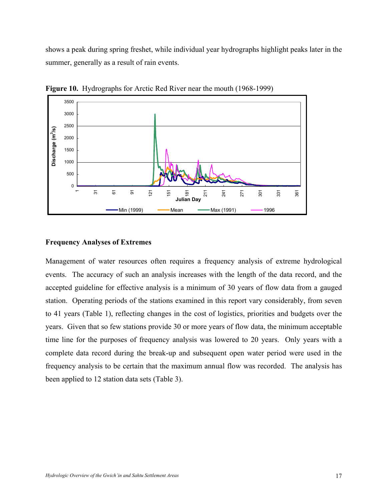shows a peak during spring freshet, while individual year hydrographs highlight peaks later in the summer, generally as a result of rain events.



**Figure 10.** Hydrographs for Arctic Red River near the mouth (1968-1999)

### **Frequency Analyses of Extremes**

Management of water resources often requires a frequency analysis of extreme hydrological events. The accuracy of such an analysis increases with the length of the data record, and the accepted guideline for effective analysis is a minimum of 30 years of flow data from a gauged station. Operating periods of the stations examined in this report vary considerably, from seven to 41 years (Table 1), reflecting changes in the cost of logistics, priorities and budgets over the years. Given that so few stations provide 30 or more years of flow data, the minimum acceptable time line for the purposes of frequency analysis was lowered to 20 years. Only years with a complete data record during the break-up and subsequent open water period were used in the frequency analysis to be certain that the maximum annual flow was recorded. The analysis has been applied to 12 station data sets (Table 3).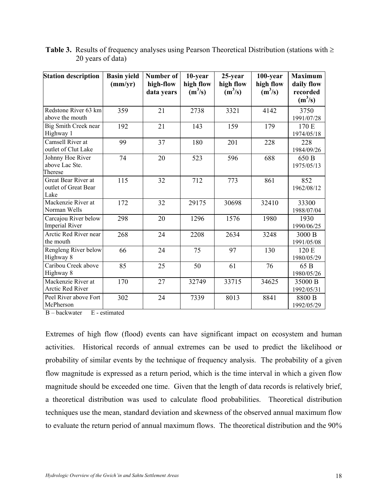| <b>Station description</b>                          | <b>Basin yield</b><br>(mm/yr) | Number of<br>high-flow<br>data years | 10-year<br>high flow<br>$(m^3/s)$ | 25-year<br>high flow<br>$(m^3/s)$ | 100-year<br>high flow<br>$(m^3/s)$ | <b>Maximum</b><br>daily flow<br>recorded<br>$(m^3/s)$ |
|-----------------------------------------------------|-------------------------------|--------------------------------------|-----------------------------------|-----------------------------------|------------------------------------|-------------------------------------------------------|
| Redstone River 63 km<br>above the mouth             | 359                           | 21                                   | 2738                              | 3321                              | 4142                               | 3750<br>1991/07/28                                    |
| Big Smith Creek near<br>Highway 1                   | 192                           | 21                                   | 143                               | 159                               | 179                                | 170 E<br>1974/05/18                                   |
| Camsell River at<br>outlet of Clut Lake             | 99                            | 37                                   | 180                               | 201                               | 228                                | 228<br>1984/09/26                                     |
| Johnny Hoe River<br>above Lac Ste.<br>Therese       | 74                            | 20                                   | 523                               | 596                               | 688                                | 650 B<br>1975/05/13                                   |
| Great Bear River at<br>outlet of Great Bear<br>Lake | 115                           | 32                                   | 712                               | 773                               | 861                                | 852<br>1962/08/12                                     |
| Mackenzie River at<br>Norman Wells                  | 172                           | 32                                   | 29175                             | 30698                             | 32410                              | 33300<br>1988/07/04                                   |
| Carcajou River below<br><b>Imperial River</b>       | 298                           | 20                                   | 1296                              | 1576                              | 1980                               | 1930<br>1990/06/25                                    |
| Arctic Red River near<br>the mouth                  | 268                           | 24                                   | 2208                              | 2634                              | 3248                               | 3000 B<br>1991/05/08                                  |
| Rengleng River below<br>Highway 8                   | 66                            | 24                                   | 75                                | 97                                | 130                                | 120 E<br>1980/05/29                                   |
| Caribou Creek above<br>Highway 8                    | 85                            | 25                                   | 50                                | 61                                | 76                                 | 65 B<br>1980/05/26                                    |
| Mackenzie River at<br>Arctic Red River              | 170                           | 27                                   | 32749                             | 33715                             | 34625                              | 35000 B<br>1992/05/31                                 |
| Peel River above Fort<br>McPherson                  | 302                           | 24                                   | 7339                              | 8013                              | 8841                               | 8800 B<br>1992/05/29                                  |

**Table 3.** Results of frequency analyses using Pearson Theoretical Distribution (stations with ≥ 20 years of data)

B – backwater E - estimated

Extremes of high flow (flood) events can have significant impact on ecosystem and human activities. Historical records of annual extremes can be used to predict the likelihood or probability of similar events by the technique of frequency analysis. The probability of a given flow magnitude is expressed as a return period, which is the time interval in which a given flow magnitude should be exceeded one time. Given that the length of data records is relatively brief, a theoretical distribution was used to calculate flood probabilities. Theoretical distribution techniques use the mean, standard deviation and skewness of the observed annual maximum flow to evaluate the return period of annual maximum flows. The theoretical distribution and the 90%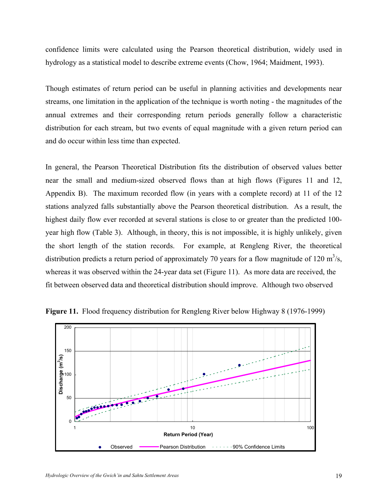confidence limits were calculated using the Pearson theoretical distribution, widely used in hydrology as a statistical model to describe extreme events (Chow, 1964; Maidment, 1993).

Though estimates of return period can be useful in planning activities and developments near streams, one limitation in the application of the technique is worth noting - the magnitudes of the annual extremes and their corresponding return periods generally follow a characteristic distribution for each stream, but two events of equal magnitude with a given return period can and do occur within less time than expected.

In general, the Pearson Theoretical Distribution fits the distribution of observed values better near the small and medium-sized observed flows than at high flows (Figures 11 and 12, Appendix B). The maximum recorded flow (in years with a complete record) at 11 of the 12 stations analyzed falls substantially above the Pearson theoretical distribution. As a result, the highest daily flow ever recorded at several stations is close to or greater than the predicted 100 year high flow (Table 3). Although, in theory, this is not impossible, it is highly unlikely, given the short length of the station records. For example, at Rengleng River, the theoretical distribution predicts a return period of approximately 70 years for a flow magnitude of 120 m<sup>3</sup>/s, whereas it was observed within the 24-year data set (Figure 11). As more data are received, the fit between observed data and theoretical distribution should improve. Although two observed



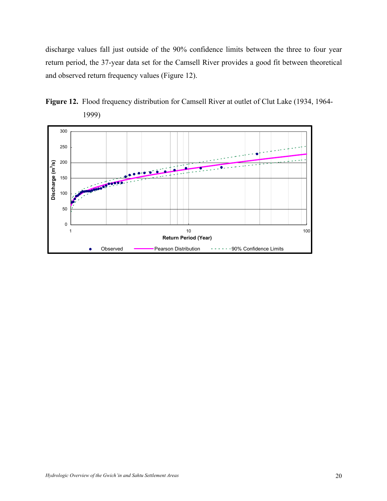discharge values fall just outside of the 90% confidence limits between the three to four year return period, the 37-year data set for the Camsell River provides a good fit between theoretical and observed return frequency values (Figure 12).



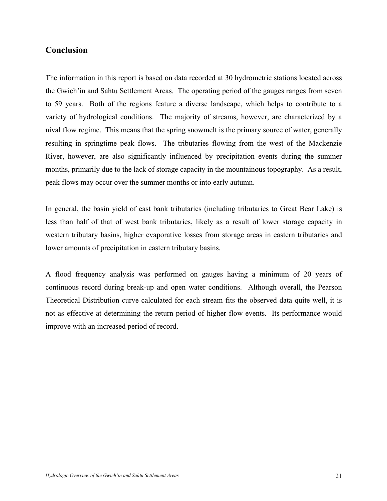## **Conclusion**

The information in this report is based on data recorded at 30 hydrometric stations located across the Gwich'in and Sahtu Settlement Areas. The operating period of the gauges ranges from seven to 59 years. Both of the regions feature a diverse landscape, which helps to contribute to a variety of hydrological conditions. The majority of streams, however, are characterized by a nival flow regime. This means that the spring snowmelt is the primary source of water, generally resulting in springtime peak flows. The tributaries flowing from the west of the Mackenzie River, however, are also significantly influenced by precipitation events during the summer months, primarily due to the lack of storage capacity in the mountainous topography. As a result, peak flows may occur over the summer months or into early autumn.

In general, the basin yield of east bank tributaries (including tributaries to Great Bear Lake) is less than half of that of west bank tributaries, likely as a result of lower storage capacity in western tributary basins, higher evaporative losses from storage areas in eastern tributaries and lower amounts of precipitation in eastern tributary basins.

A flood frequency analysis was performed on gauges having a minimum of 20 years of continuous record during break-up and open water conditions. Although overall, the Pearson Theoretical Distribution curve calculated for each stream fits the observed data quite well, it is not as effective at determining the return period of higher flow events. Its performance would improve with an increased period of record.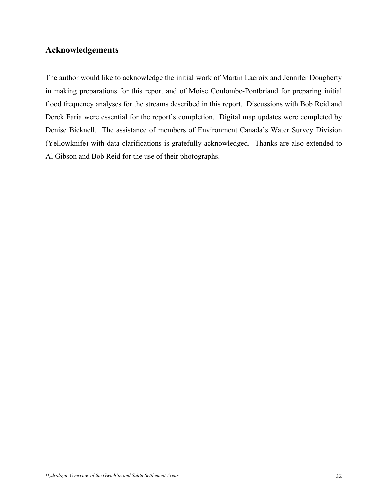## **Acknowledgements**

The author would like to acknowledge the initial work of Martin Lacroix and Jennifer Dougherty in making preparations for this report and of Moise Coulombe-Pontbriand for preparing initial flood frequency analyses for the streams described in this report. Discussions with Bob Reid and Derek Faria were essential for the report's completion. Digital map updates were completed by Denise Bicknell. The assistance of members of Environment Canada's Water Survey Division (Yellowknife) with data clarifications is gratefully acknowledged. Thanks are also extended to Al Gibson and Bob Reid for the use of their photographs.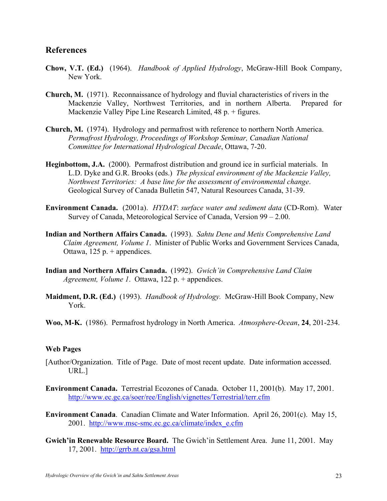## **References**

- **Chow, V.T. (Ed.)** (1964). *Handbook of Applied Hydrology*, McGraw-Hill Book Company, New York.
- **Church, M.** (1971). Reconnaissance of hydrology and fluvial characteristics of rivers in the Mackenzie Valley, Northwest Territories, and in northern Alberta. Prepared for Mackenzie Valley Pipe Line Research Limited, 48 p. + figures.
- **Church, M.** (1974). Hydrology and permafrost with reference to northern North America. *Permafrost Hydrology, Proceedings of Workshop Seminar, Canadian National Committee for International Hydrological Decade*, Ottawa, 7-20.
- **Heginbottom, J.A.** (2000). Permafrost distribution and ground ice in surficial materials. In L.D. Dyke and G.R. Brooks (eds.) *The physical environment of the Mackenzie Valley, Northwest Territories: A base line for the assessment of environmental change*. Geological Survey of Canada Bulletin 547, Natural Resources Canada, 31-39.
- **Environment Canada.** (2001a). *HYDAT*: *surface water and sediment data* (CD-Rom). Water Survey of Canada, Meteorological Service of Canada, Version 99 – 2.00.
- **Indian and Northern Affairs Canada.** (1993). *Sahtu Dene and Metis Comprehensive Land Claim Agreement, Volume 1*. Minister of Public Works and Government Services Canada, Ottawa,  $125$  p. + appendices.
- **Indian and Northern Affairs Canada.** (1992). *Gwich'in Comprehensive Land Claim Agreement, Volume 1*. Ottawa, 122 p. + appendices.
- **Maidment, D.R. (Ed.)** (1993). *Handbook of Hydrology.* McGraw-Hill Book Company, New York.
- **Woo, M-K.** (1986). Permafrost hydrology in North America. *Atmosphere-Ocean*, **24**, 201-234.

#### **Web Pages**

- [Author/Organization. Title of Page. Date of most recent update. Date information accessed. URL.]
- **Environment Canada.** Terrestrial Ecozones of Canada. October 11, 2001(b). May 17, 2001. http://www.ec.gc.ca/soer/ree/English/vignettes/Terrestrial/terr.cfm
- **Environment Canada**. Canadian Climate and Water Information. April 26, 2001(c). May 15, 2001. http://www.msc-smc.ec.gc.ca/climate/index\_e.cfm
- **Gwich'in Renewable Resource Board.** The Gwich'in Settlement Area. June 11, 2001. May 17, 2001. http://grrb.nt.ca/gsa.html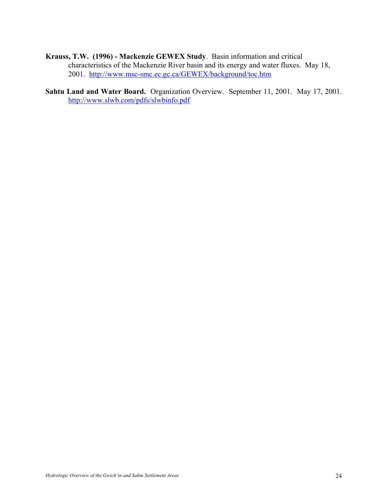- **Krauss, T.W. (1996) Mackenzie GEWEX Study**. Basin information and critical characteristics of the Mackenzie River basin and its energy and water fluxes. May 18, 2001. http://www.msc-smc.ec.gc.ca/GEWEX/background/toc.htm
- **Sahtu Land and Water Board.** Organization Overview. September 11, 2001. May 17, 2001. http://www.slwb.com/pdfs/slwbinfo.pdf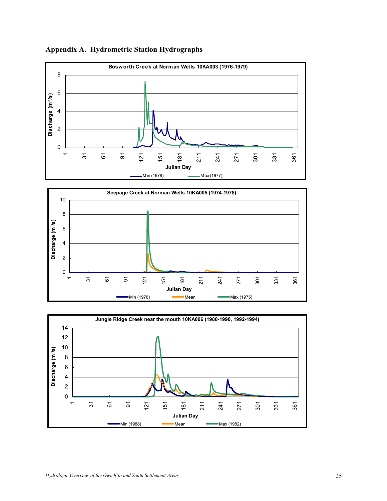

### **Appendix A. Hydrometric Station Hydrographs**



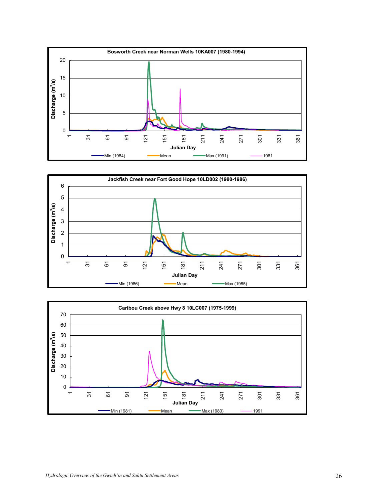



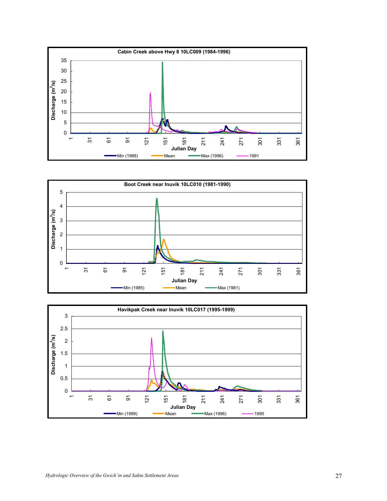



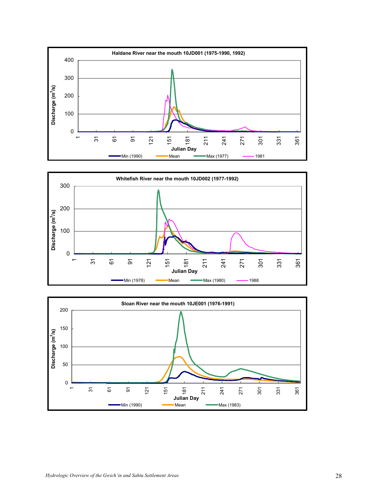



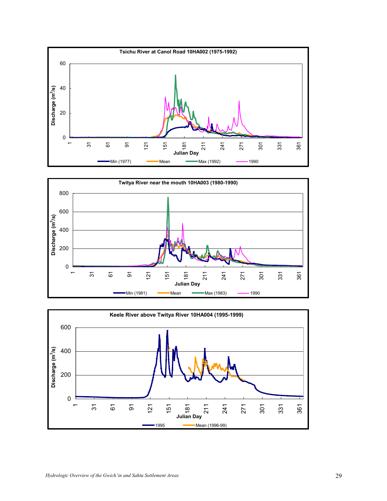



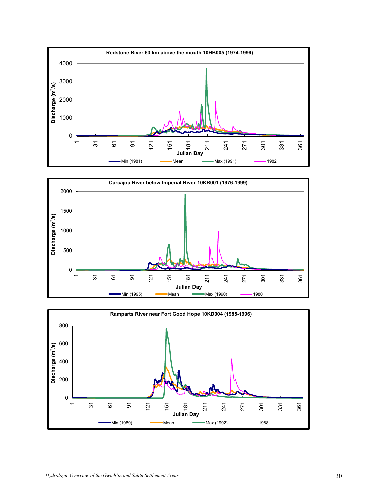



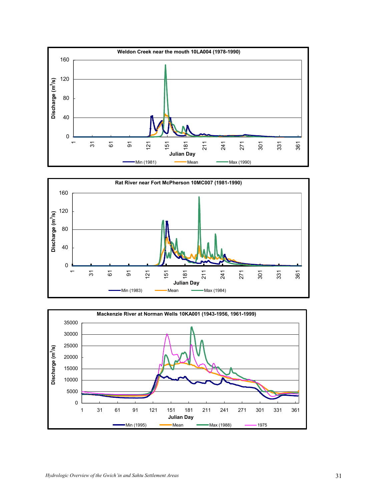



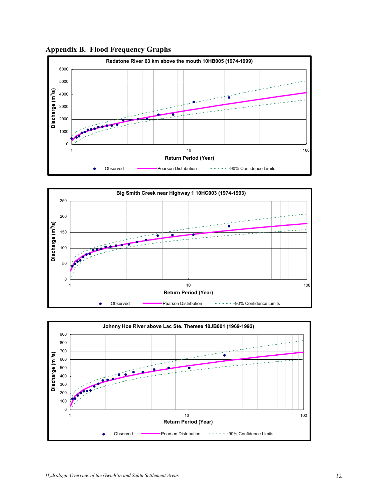

**Appendix B. Flood Frequency Graphs** 



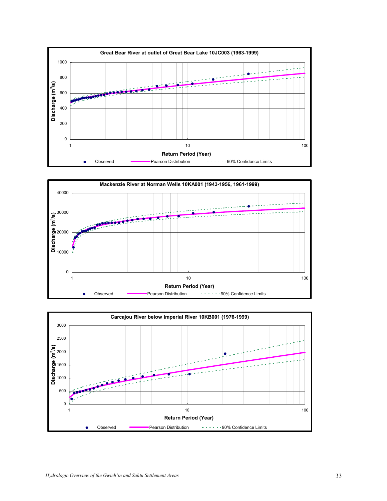



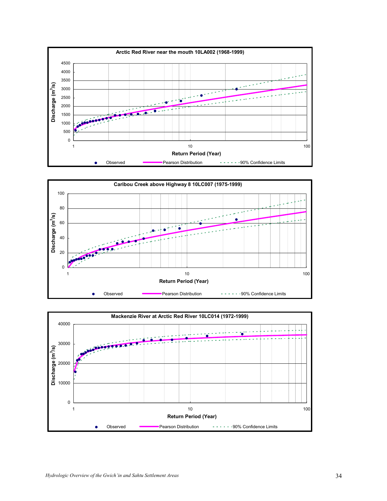